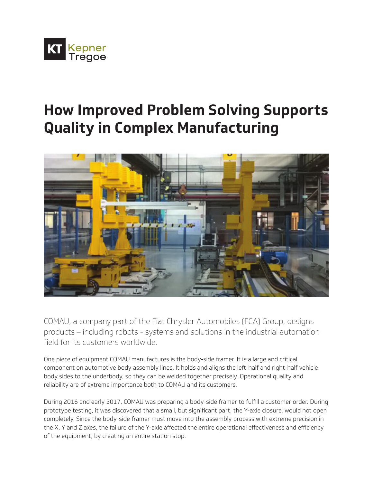

# **How Improved Problem Solving Supports Quality in Complex Manufacturing**



COMAU, a company part of the Fiat Chrysler Automobiles (FCA) Group, designs products – including robots - systems and solutions in the industrial automation field for its customers worldwide.

One piece of equipment COMAU manufactures is the body-side framer. It is a large and critical component on automotive body assembly lines. It holds and aligns the left-half and right-half vehicle body sides to the underbody, so they can be welded together precisely. Operational quality and reliability are of extreme importance both to COMAU and its customers.

During 2016 and early 2017, COMAU was preparing a body-side framer to fulfill a customer order. During prototype testing, it was discovered that a small, but significant part, the Y-axle closure, would not open completely. Since the body-side framer must move into the assembly process with extreme precision in the X, Y and Z axes, the failure of the Y-axle affected the entire operational effectiveness and efficiency of the equipment, by creating an entire station stop.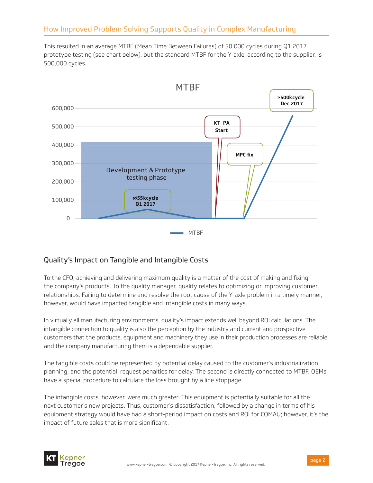This resulted in an average MTBF (Mean Time Between Failures) of 50.000 cycles during Q1 2017 prototype testing (see chart below), but the standard MTBF for the Y-axle, according to the supplier, is 500,000 cycles.



## Quality's Impact on Tangible and Intangible Costs

To the CFO, achieving and delivering maximum quality is a matter of the cost of making and fixing the company's products. To the quality manager, quality relates to optimizing or improving customer relationships. Failing to determine and resolve the root cause of the Y-axle problem in a timely manner, however, would have impacted tangible and intangible costs in many ways.

In virtually all manufacturing environments, quality's impact extends well beyond ROI calculations. The intangible connection to quality is also the perception by the industry and current and prospective customers that the products, equipment and machinery they use in their production processes are reliable and the company manufacturing them is a dependable supplier.

The tangible costs could be represented by potential delay caused to the customer's industrialization planning, and the potential request penalties for delay. The second is directly connected to MTBF. OEMs have a special procedure to calculate the loss brought by a line stoppage.

The intangible costs, however, were much greater. This equipment is potentially suitable for all the next customer's new projects. Thus, customer's dissatisfaction, followed by a change in terms of his equipment strategy would have had a short-period impact on costs and ROI for COMAU; however, it's the impact of future sales that is more significant.

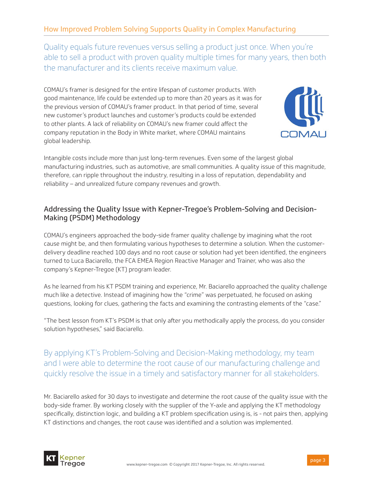Quality equals future revenues versus selling a product just once. When you're able to sell a product with proven quality multiple times for many years, then both the manufacturer and its clients receive maximum value.

COMAU's framer is designed for the entire lifespan of customer products. With good maintenance, life could be extended up to more than 20 years as it was for the previous version of COMAU's framer product. In that period of time, several new customer's product launches and customer's products could be extended to other plants. A lack of reliability on COMAU's new framer could affect the company reputation in the Body in White market, where COMAU maintains global leadership.



Intangible costs include more than just long-term revenues. Even some of the largest global manufacturing industries, such as automotive, are small communities. A quality issue of this magnitude, therefore, can ripple throughout the industry, resulting in a loss of reputation, dependability and reliability – and unrealized future company revenues and growth.

## Addressing the Quality Issue with Kepner-Tregoe's Problem-Solving and Decision-Making (PSDM) Methodology

COMAU's engineers approached the body-side framer quality challenge by imagining what the root cause might be, and then formulating various hypotheses to determine a solution. When the customerdelivery deadline reached 100 days and no root cause or solution had yet been identified, the engineers turned to Luca Baciarello, the FCA EMEA Region Reactive Manager and Trainer, who was also the company's Kepner-Tregoe (KT) program leader.

As he learned from his KT PSDM training and experience, Mr. Baciarello approached the quality challenge much like a detective. Instead of imagining how the "crime" was perpetuated, he focused on asking questions, looking for clues, gathering the facts and examining the contrasting elements of the "case."

"The best lesson from KT's PSDM is that only after you methodically apply the process, do you consider solution hypotheses," said Baciarello.

By applying KT's Problem-Solving and Decision-Making methodology, my team and I were able to determine the root cause of our manufacturing challenge and quickly resolve the issue in a timely and satisfactory manner for all stakeholders.

Mr. Baciarello asked for 30 days to investigate and determine the root cause of the quality issue with the body-side framer. By working closely with the supplier of the Y-axle and applying the KT methodology specifically, distinction logic, and building a KT problem specification using is, is - not pairs then, applying KT distinctions and changes, the root cause was identified and a solution was implemented.